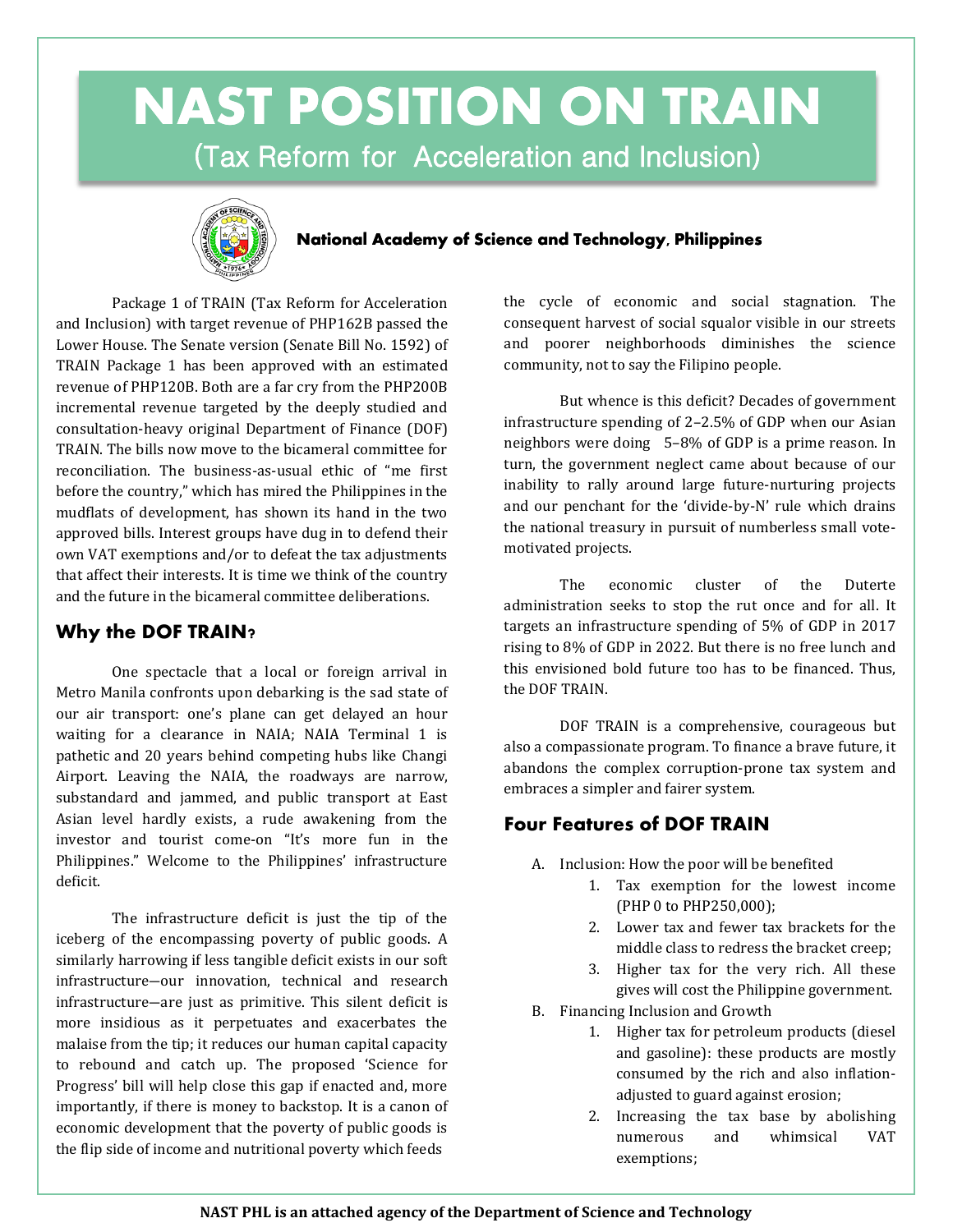# **NAST POSITION ON TRAIN** (Tax Reform for Acceleration and Inclusion)



#### **National Academy of Science and Technology, Philippines**

Package 1 of TRAIN (Tax Reform for Acceleration and Inclusion) with target revenue of PHP162B passed the Lower House. The Senate version (Senate Bill No. 1592) of TRAIN Package 1 has been approved with an estimated revenue of PHP120B. Both are a far cry from the PHP200B incremental revenue targeted by the deeply studied and consultation-heavy original Department of Finance (DOF) TRAIN. The bills now move to the bicameral committee for reconciliation. The business-as-usual ethic of "me first before the country," which has mired the Philippines in the mudflats of development, has shown its hand in the two approved bills. Interest groups have dug in to defend their own VAT exemptions and/or to defeat the tax adjustments that affect their interests. It is time we think of the country and the future in the bicameral committee deliberations.

### **Why the DOF TRAIN?**

One spectacle that a local or foreign arrival in Metro Manila confronts upon debarking is the sad state of our air transport: one's plane can get delayed an hour waiting for a clearance in NAIA; NAIA Terminal 1 is pathetic and 20 years behind competing hubs like Changi Airport. Leaving the NAIA, the roadways are narrow, substandard and jammed, and public transport at East Asian level hardly exists, a rude awakening from the investor and tourist come-on "It's more fun in the Philippines." Welcome to the Philippines' infrastructure deficit.

The infrastructure deficit is just the tip of the iceberg of the encompassing poverty of public goods. A similarly harrowing if less tangible deficit exists in our soft infrastructure―our innovation, technical and research infrastructure―are just as primitive. This silent deficit is more insidious as it perpetuates and exacerbates the malaise from the tip; it reduces our human capital capacity to rebound and catch up. The proposed 'Science for Progress' bill will help close this gap if enacted and, more importantly, if there is money to backstop. It is a canon of economic development that the poverty of public goods is the flip side of income and nutritional poverty which feeds

the cycle of economic and social stagnation. The consequent harvest of social squalor visible in our streets and poorer neighborhoods diminishes the science community, not to say the Filipino people.

But whence is this deficit? Decades of government infrastructure spending of 2–2.5% of GDP when our Asian neighbors were doing 5–8% of GDP is a prime reason. In turn, the government neglect came about because of our inability to rally around large future-nurturing projects and our penchant for the 'divide-by-N' rule which drains the national treasury in pursuit of numberless small votemotivated projects.

The economic cluster of the Duterte administration seeks to stop the rut once and for all. It targets an infrastructure spending of 5% of GDP in 2017 rising to 8% of GDP in 2022. But there is no free lunch and this envisioned bold future too has to be financed. Thus, the DOF TRAIN.

DOF TRAIN is a comprehensive, courageous but also a compassionate program. To finance a brave future, it abandons the complex corruption-prone tax system and embraces a simpler and fairer system.

### **Four Features of DOF TRAIN**

- A. Inclusion: How the poor will be benefited
	- 1. Tax exemption for the lowest income (PHP 0 to PHP250,000);
	- 2. Lower tax and fewer tax brackets for the middle class to redress the bracket creep;
	- 3. Higher tax for the very rich. All these gives will cost the Philippine government.
- B. Financing Inclusion and Growth
	- 1. Higher tax for petroleum products (diesel and gasoline): these products are mostly consumed by the rich and also inflationadjusted to guard against erosion;
	- 2. Increasing the tax base by abolishing numerous and whimsical VAT exemptions;